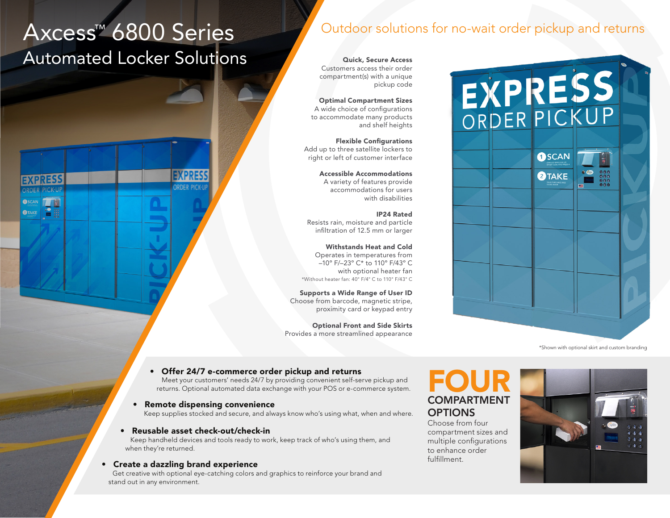# Axcess™ 6800 Series Automated Locker Solutions

**O**TAKE

# Outdoor solutions for no-wait order pickup and returns

Quick, Secure Access Customers access their order compartment(s) with a unique pickup code

Optimal Compartment Sizes A wide choice of configurations to accommodate many products and shelf heights

Flexible Configurations Add up to three satellite lockers to right or left of customer interface

> Accessible Accommodations A variety of features provide accommodations for users with disabilities

IP24 Rated Resists rain, moisture and particle infiltration of 12.5 mm or larger

Withstands Heat and Cold Operates in temperatures from –10º F/–23º C\* to 110º F/43º C with optional heater fan \*Without heater fan: 40° F/4° C to 110° F/43° C

Supports a Wide Range of User ID Choose from barcode, magnetic stripe, proximity card or keypad entry

Optional Front and Side Skirts Provides a more streamlined appearance



\*Shown with optional skirt and custom branding

### • Offer 24/7 e-commerce order pickup and returns

Meet your customers' needs 24/7 by providing convenient self-serve pickup and returns. Optional automated data exchange with your POS or e-commerce system.

### • Remote dispensing convenience

Keep supplies stocked and secure, and always know who's using what, when and where.

### • Reusable asset check-out/check-in

Keep handheld devices and tools ready to work, keep track of who's using them, and when they're returned.

### • Create a dazzling brand experience

Get creative with optional eye-catching colors and graphics to reinforce your brand and stand out in any environment.

# FOUR COMPARTMENT **OPTIONS**

Choose from four compartment sizes and multiple configurations to enhance order fulfillment.